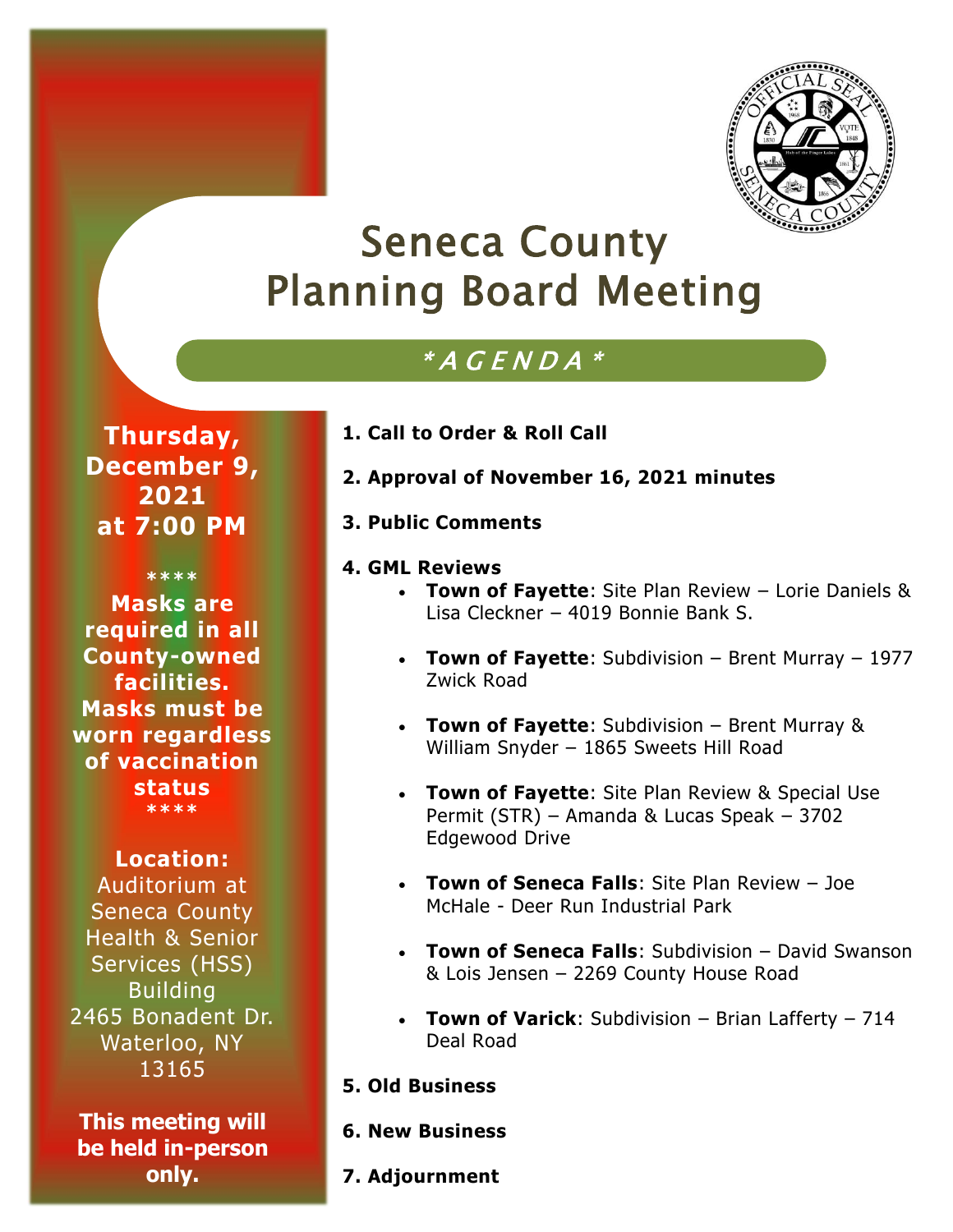

# Seneca County Planning Board Meeting

## $^{\ast}$  A  $\emph{G}$  E N D A  $^{\ast}$

**Thursday, December 9, 2021 at 7:00 PM**

**\*\*\*\* Masks are required in all County-owned facilities. Masks must be worn regardless of vaccination status \*\*\*\***

#### **Location:**

Auditorium at Seneca County Health & Senior Services (HSS) Building 2465 Bonadent Dr. Waterloo, NY 13165

**This meeting will be held in-person only.**

#### **1. Call to Order & Roll Call**

- **2. Approval of November 16, 2021 minutes**
- **3. Public Comments**

#### **4. GML Reviews**

- **Town of Fayette**: Site Plan Review Lorie Daniels & Lisa Cleckner – 4019 Bonnie Bank S.
- **Town of Fayette**: Subdivision Brent Murray 1977 Zwick Road
- **Town of Fayette**: Subdivision Brent Murray & William Snyder – 1865 Sweets Hill Road
- **Town of Fayette**: Site Plan Review & Special Use Permit (STR) – Amanda & Lucas Speak – 3702 Edgewood Drive
- **Town of Seneca Falls**: Site Plan Review Joe McHale - Deer Run Industrial Park
- **Town of Seneca Falls**: Subdivision David Swanson & Lois Jensen – 2269 County House Road
- **Town of Varick**: Subdivision Brian Lafferty 714 Deal Road
- **5. Old Business**
- **6. New Business**
- **7. Adjournment**